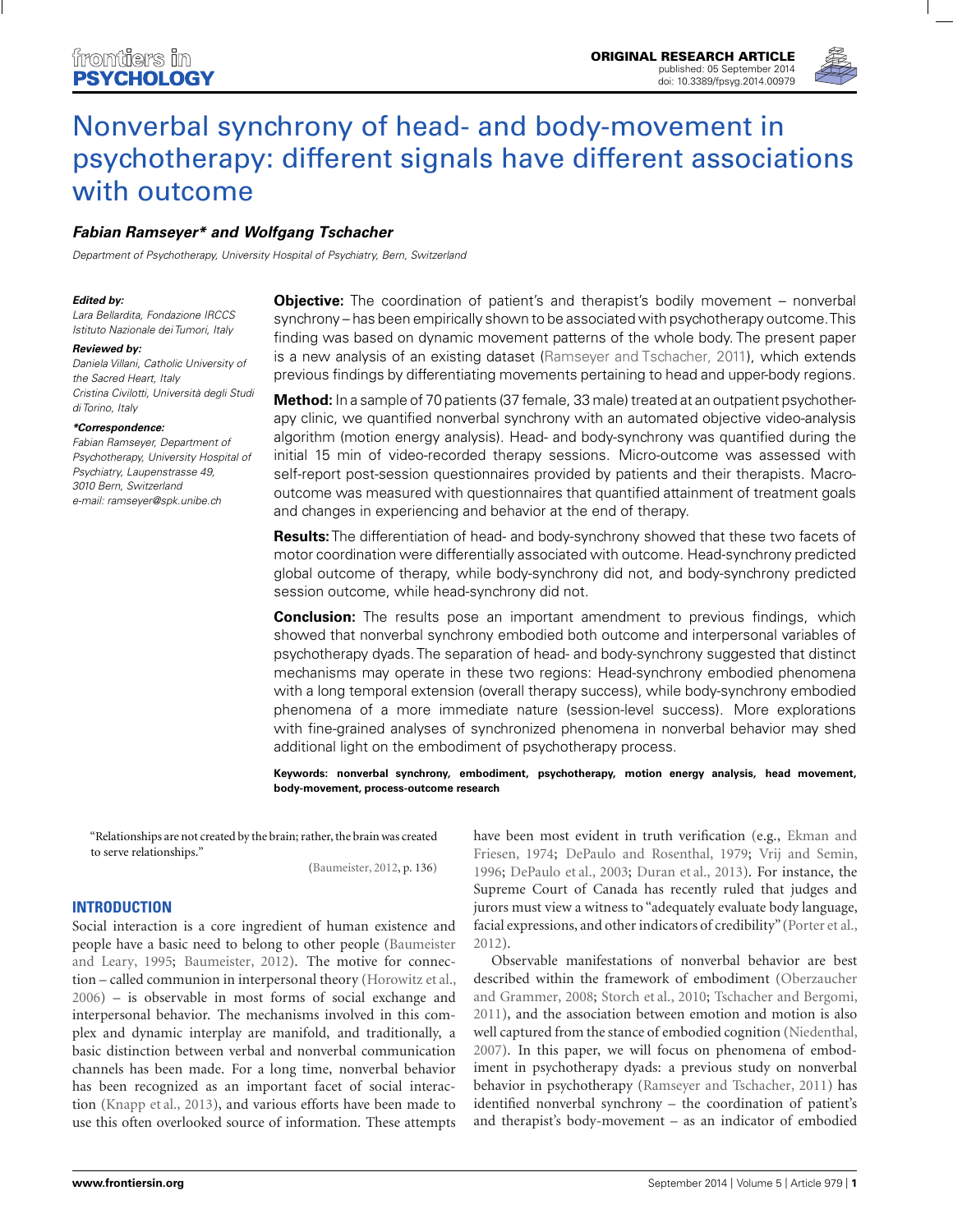

# Nonverbal synchrony of head- and body-movement in [psychotherapy: different signals have different associations](http://www.frontiersin.org/journal/10.3389/fpsyg.2014.00979/abstract) with outcome

# *[Fabian Ramseyer\\*](http://community.frontiersin.org/people/u/109955) and [Wolfgang Tschacher](http://community.frontiersin.org/people/u/52628)*

Department of Psychotherapy, University Hospital of Psychiatry, Bern, Switzerland

#### *Edited by:*

Lara Bellardita, Fondazione IRCCS Istituto Nazionale dei Tumori, Italy

#### *Reviewed by:*

Daniela Villani, Catholic University of the Sacred Heart, Italy Cristina Civilotti, Università degli Studi di Torino, Italy

#### *\*Correspondence:*

Fabian Ramseyer, Department of Psychotherapy, University Hospital of Psychiatry, Laupenstrasse 49, 3010 Bern, Switzerland e-mail: [ramseyer@spk.unibe.ch](mailto:ramseyer@spk.unibe.ch)

**Objective:** The coordination of patient's and therapist's bodily movement – nonverbal synchrony – has been empirically shown to be associated with psychotherapy outcome.This finding was based on dynamic movement patterns of the whole body. The present paper is a new analysis of an existing dataset [\(Ramseyer and Tschacher, 2011\)](#page-8-0), which extends previous findings by differentiating movements pertaining to head and upper-body regions.

**Method:** In a sample of 70 patients (37 female, 33 male) treated at an outpatient psychotherapy clinic, we quantified nonverbal synchrony with an automated objective video-analysis algorithm (motion energy analysis). Head- and body-synchrony was quantified during the initial 15 min of video-recorded therapy sessions. Micro-outcome was assessed with self-report post-session questionnaires provided by patients and their therapists. Macrooutcome was measured with questionnaires that quantified attainment of treatment goals and changes in experiencing and behavior at the end of therapy.

**Results:**The differentiation of head- and body-synchrony showed that these two facets of motor coordination were differentially associated with outcome. Head-synchrony predicted global outcome of therapy, while body-synchrony did not, and body-synchrony predicted session outcome, while head-synchrony did not.

**Conclusion:** The results pose an important amendment to previous findings, which showed that nonverbal synchrony embodied both outcome and interpersonal variables of psychotherapy dyads. The separation of head- and body-synchrony suggested that distinct mechanisms may operate in these two regions: Head-synchrony embodied phenomena with a long temporal extension (overall therapy success), while body-synchrony embodied phenomena of a more immediate nature (session-level success). More explorations with fine-grained analyses of synchronized phenomena in nonverbal behavior may shed additional light on the embodiment of psychotherapy process.

**Keywords: nonverbal synchrony, embodiment, psychotherapy, motion energy analysis, head movement, body-movement, process-outcome research**

"Relationships are not created by the brain; rather, the brain was created to serve relationships."

[\(Baumeister, 2012,](#page-6-0) p. 136)

# **INTRODUCTION**

Social interaction is a core ingredient of human existence and people ha[ve a basic need to belong to other people \(](#page-6-0)Baumeister and Leary, [1995;](#page-6-0) [Baumeister](#page-6-0), [2012\)](#page-6-0). The motive for connection – called communion in interpersonal theory [\(Horowitz et al.,](#page-7-0) [2006\)](#page-7-0) – is observable in most forms of social exchange and interpersonal behavior. The mechanisms involved in this complex and dynamic interplay are manifold, and traditionally, a basic distinction between verbal and nonverbal communication channels has been made. For a long time, nonverbal behavior has been recognized as an important facet of social interaction [\(Knapp et al., 2013\)](#page-7-0), and various efforts have been made to use this often overlooked source of information. These attempts have b[een](#page-6-0) [most](#page-6-0) [evident](#page-6-0) [in](#page-6-0) [truth](#page-6-0) [verification](#page-6-0) [\(e.g.,](#page-6-0) Ekman and Friesen, [1974](#page-6-0); [DePaulo and Rosenthal](#page-6-0), [1979;](#page-6-0) [Vrij and Semin,](#page-8-0) [1996](#page-8-0); [DePaulo et al., 2003;](#page-6-0) [Duran et al.](#page-6-0), [2013](#page-6-0)). For instance, the Supreme Court of Canada has recently ruled that judges and jurors must view a witness to "adequately evaluate body language, facial expressions, and other indicators of credibility" [\(Porter et al.,](#page-7-0) [2012](#page-7-0)).

Observable manifestations of nonverbal behavior are best described wit[hin the framework of embodiment \(](#page-7-0)Oberzaucher and Grammer, [2008](#page-7-0); [Storch et al.](#page-8-0), [2010;](#page-8-0) [Tschacher and Bergomi,](#page-8-0) [2011](#page-8-0)), and the association between emotion and motion is also well captured from the stance of embodied cognition [\(Niedenthal,](#page-7-0) [2007](#page-7-0)). In this paper, we will focus on phenomena of embodiment in psychotherapy dyads: a previous study on nonverbal behavior in psychotherapy [\(Ramseyer and Tschacher](#page-8-0), [2011\)](#page-8-0) has identified nonverbal synchrony – the coordination of patient's and therapist's body-movement – as an indicator of embodied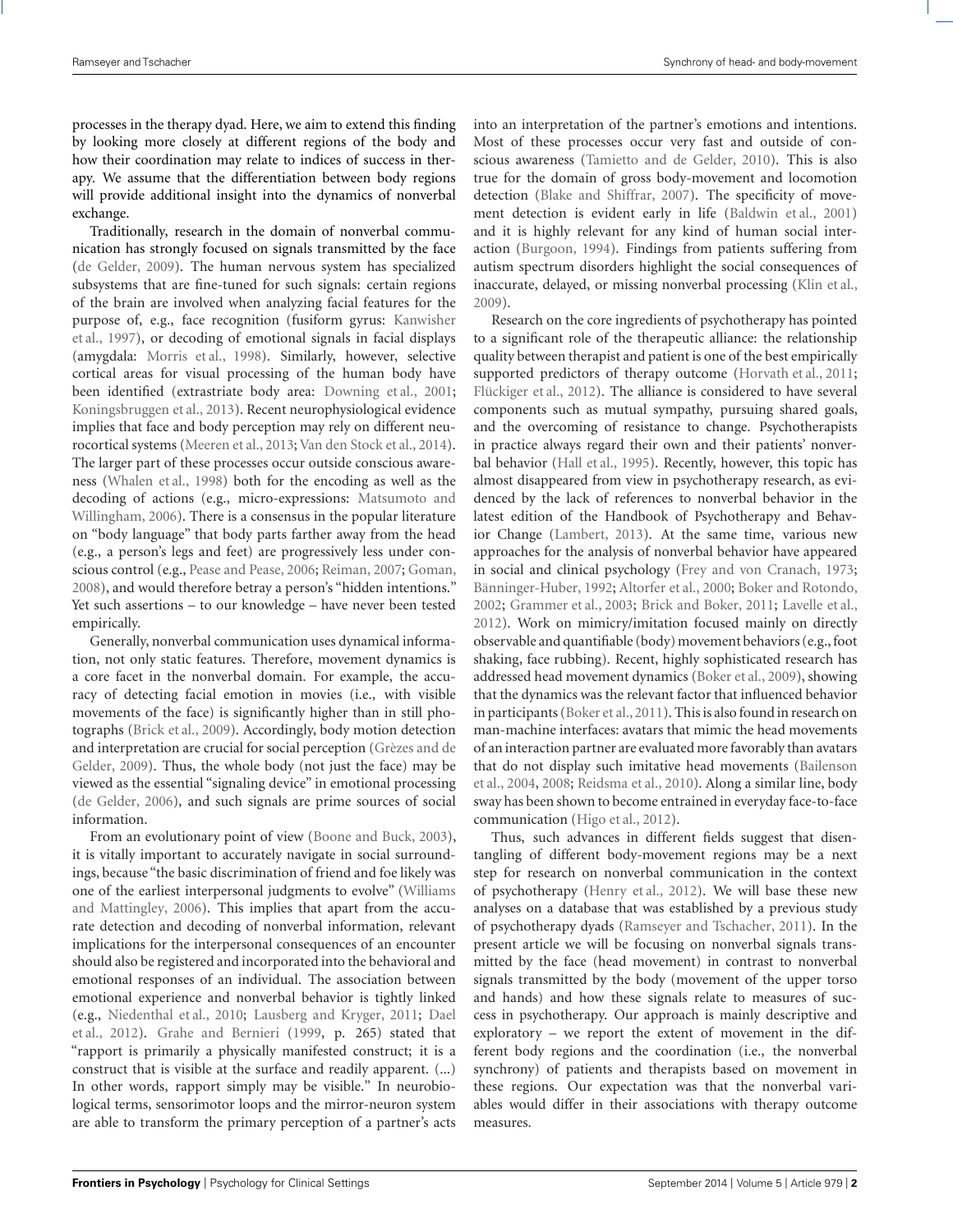processes in the therapy dyad. Here, we aim to extend this finding by looking more closely at different regions of the body and how their coordination may relate to indices of success in therapy. We assume that the differentiation between body regions will provide additional insight into the dynamics of nonverbal exchange.

Traditionally, research in the domain of nonverbal communication has strongly focused on signals transmitted by the face [\(de Gelder](#page-6-0), [2009](#page-6-0)). The human nervous system has specialized subsystems that are fine-tuned for such signals: certain regions of the brain are involved when analyzing facial features for the pur[pose of, e.g., face recognition \(fusiform gyrus:](#page-7-0) Kanwisher et al., [1997](#page-7-0)), or decoding of emotional signals in facial displays (amygdala: [Morris et al., 1998](#page-7-0)). Similarly, however, selective cortical areas for visual processing of the human body have been identified (extrastriate body area: [Downing et al., 2001;](#page-6-0) [Koningsbruggen et al.](#page-7-0), [2013\)](#page-7-0). Recent neurophysiological evidence implies that face and body perception may rely on different neu-rocortical systems [\(Meeren et al., 2013;](#page-7-0) [Van den Stock et al.](#page-8-0), [2014](#page-8-0)). The larger part of these processes occur outside conscious awareness [\(Whalen et al.](#page-8-0), [1998](#page-8-0)) both for the encoding as well as the decoding of actions (e.g., micro-expressions: Matsumoto and Willingham, [2006\)](#page-7-0). There is a consensus in the popular literature on "body language" that body parts farther away from the head (e.g., a person's legs and feet) are progressively less under conscious control (e.g., [Pease and Pease](#page-7-0), [2006;](#page-7-0) [Reiman](#page-8-0), [2007](#page-8-0); [Goman,](#page-7-0) [2008\)](#page-7-0), and would therefore betray a person's "hidden intentions." Yet such assertions – to our knowledge – have never been tested empirically.

Generally, nonverbal communication uses dynamical information, not only static features. Therefore, movement dynamics is a core facet in the nonverbal domain. For example, the accuracy of detecting facial emotion in movies (i.e., with visible movements of the face) is significantly higher than in still photographs [\(Brick et al.](#page-6-0), [2009\)](#page-6-0). Accordingly, body motion detection and in[terpretation are crucial for social perception \(](#page-7-0)Grèzes and de Gelder, [2009](#page-7-0)). Thus, the whole body (not just the face) may be viewed as the essential "signaling device" in emotional processing [\(de Gelder, 2006](#page-6-0)), and such signals are prime sources of social information.

From an evolutionary point of view [\(Boone and Buck, 2003](#page-6-0)), it is vitally important to accurately navigate in social surroundings, because "the basic discrimination of friend and foe likely was one of the earli[est](#page-8-0) [interpersonal](#page-8-0) [judgments](#page-8-0) [to](#page-8-0) [evolve"](#page-8-0) [\(](#page-8-0)Williams and Mattingley, [2006\)](#page-8-0). This implies that apart from the accurate detection and decoding of nonverbal information, relevant implications for the interpersonal consequences of an encounter should also be registered and incorporated into the behavioral and emotional responses of an individual. The association between emotional experience and nonverbal behavior is tightly linked (e.g., [Niedenthal et al.](#page-7-0), [2010](#page-7-0); [Lausberg and Kryger](#page-7-0)[,](#page-6-0) [2011](#page-7-0)[;](#page-6-0) Dael et al., [2012\)](#page-6-0). [Grahe and Bernieri](#page-7-0) [\(1999](#page-7-0), p. 265) stated that "rapport is primarily a physically manifested construct; it is a construct that is visible at the surface and readily apparent. (...) In other words, rapport simply may be visible." In neurobiological terms, sensorimotor loops and the mirror-neuron system are able to transform the primary perception of a partner's acts into an interpretation of the partner's emotions and intentions. Most of these processes occur very fast and outside of conscious awareness [\(Tamietto and de Gelder, 2010](#page-8-0)). This is also true for the domain of gross body-movement and locomotion detection [\(Blake and Shiffrar, 2007](#page-6-0)). The specificity of movement detection is evident early in life [\(Baldwin et al.](#page-6-0), [2001](#page-6-0)) and it is highly relevant for any kind of human social interaction [\(Burgoon](#page-6-0), [1994](#page-6-0)). Findings from patients suffering from autism spectrum disorders highlight the social consequences of inaccurate, delayed, or missing nonverbal processing [\(Klin et al.,](#page-7-0) [2009](#page-7-0)).

Research on the core ingredients of psychotherapy has pointed to a significant role of the therapeutic alliance: the relationship quality between therapist and patient is one of the best empirically supported predictors of therapy outcome [\(Horvath et al.](#page-7-0), [2011;](#page-7-0) [Flückiger et al., 2012\)](#page-6-0). The alliance is considered to have several components such as mutual sympathy, pursuing shared goals, and the overcoming of resistance to change. Psychotherapists in practice always regard their own and their patients' nonverbal behavior [\(Hall et al.](#page-7-0), [1995](#page-7-0)). Recently, however, this topic has almost disappeared from view in psychotherapy research, as evidenced by the lack of references to nonverbal behavior in the latest edition of the Handbook of Psychotherapy and Behavior Change [\(Lambert, 2013](#page-7-0)). At the same time, various new approaches for the analysis of nonverbal behavior have appeared in social and clinical psychology [\(Frey and von Cranach](#page-7-0), [1973;](#page-7-0) [Bänninger-Huber](#page-6-0), [1992;](#page-6-0) [Altorfer et al.](#page-6-0), [2000;](#page-6-0) [Boker and Rotondo,](#page-6-0) [2002](#page-6-0); [Grammer et al., 2003;](#page-7-0) [Brick and Boker, 2011;](#page-6-0) [Lavelle et al.,](#page-7-0) [2012](#page-7-0)). Work on mimicry/imitation focused mainly on directly observable and quantifiable (body) movement behaviors (e.g.,foot shaking, face rubbing). Recent, highly sophisticated research has addressed head movement dynamics [\(Boker et al.](#page-6-0), [2009\)](#page-6-0), showing that the dynamics was the relevant factor that influenced behavior in participants (Boker et al., 2011). This is also found in research on man-machine interfaces: avatars that mimic the head movements of an interaction partner are evaluated more favorably than avatars that [do not display such imitative head movements \(](#page-6-0)Bailenson et al., [2004](#page-6-0), [2008;](#page-6-0) [Reidsma et al.](#page-8-0), [2010\)](#page-8-0). Along a similar line, body sway has been shown to become entrained in everyday face-to-face communication [\(Higo et al., 2012](#page-7-0)).

Thus, such advances in different fields suggest that disentangling of different body-movement regions may be a next step for research on nonverbal communication in the context of psychotherapy [\(Henry et al., 2012\)](#page-7-0). We will base these new analyses on a database that was established by a previous study of psychotherapy dyads [\(Ramseyer and Tschacher, 2011\)](#page-8-0). In the present article we will be focusing on nonverbal signals transmitted by the face (head movement) in contrast to nonverbal signals transmitted by the body (movement of the upper torso and hands) and how these signals relate to measures of success in psychotherapy. Our approach is mainly descriptive and exploratory – we report the extent of movement in the different body regions and the coordination (i.e., the nonverbal synchrony) of patients and therapists based on movement in these regions. Our expectation was that the nonverbal variables would differ in their associations with therapy outcome measures.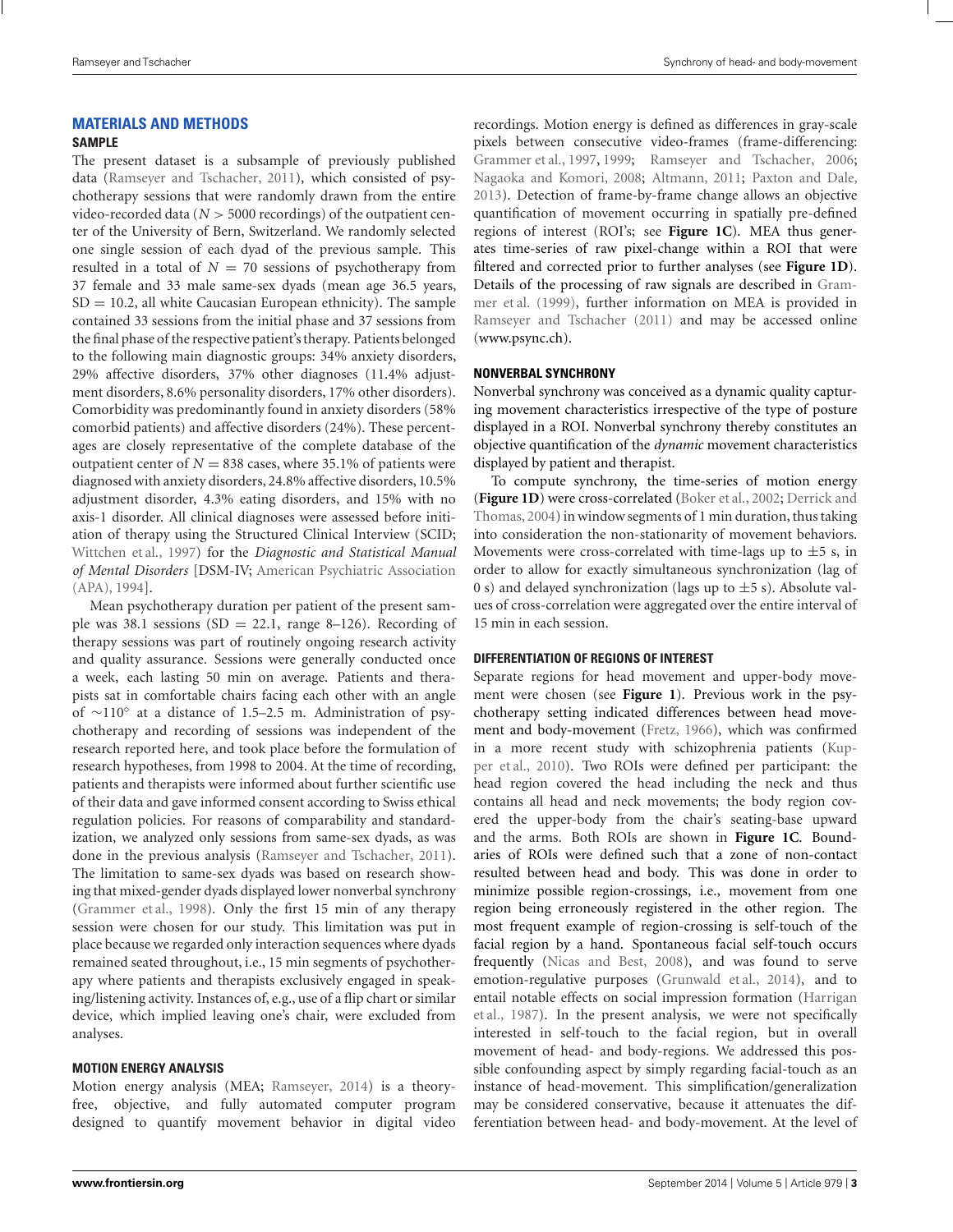### **MATERIALS AND METHODS SAMPLE**

The present dataset is a subsample of previously published data [\(Ramseyer and Tschacher, 2011\)](#page-8-0), which consisted of psychotherapy sessions that were randomly drawn from the entire video-recorded data (*N* > 5000 recordings) of the outpatient center of the University of Bern, Switzerland. We randomly selected one single session of each dyad of the previous sample. This resulted in a total of  $N = 70$  sessions of psychotherapy from 37 female and 33 male same-sex dyads (mean age 36.5 years,  $SD = 10.2$ , all white Caucasian European ethnicity). The sample contained 33 sessions from the initial phase and 37 sessions from the final phase of the respective patient's therapy. Patients belonged to the following main diagnostic groups: 34% anxiety disorders, 29% affective disorders, 37% other diagnoses (11.4% adjustment disorders, 8.6% personality disorders, 17% other disorders). Comorbidity was predominantly found in anxiety disorders (58% comorbid patients) and affective disorders (24%). These percentages are closely representative of the complete database of the outpatient center of  $N = 838$  cases, where 35.1% of patients were diagnosed with anxiety disorders, 24.8% affective disorders, 10.5% adjustment disorder, 4.3% eating disorders, and 15% with no axis-1 disorder. All clinical diagnoses were assessed before initiation of therapy using the Structured Clinical Interview (SCID; [Wittchen et al.](#page-8-0), [1997\)](#page-8-0) for the *Diagnostic and Statistical Manual of Me[ntal](#page-6-0) [Disorders](#page-6-0)* [DSM-IV; American Psychiatric Association (APA), [1994](#page-6-0)].

Mean psychotherapy duration per patient of the present sample was 38.1 sessions (SD = 22.1, range 8–126). Recording of therapy sessions was part of routinely ongoing research activity and quality assurance. Sessions were generally conducted once a week, each lasting 50 min on average. Patients and therapists sat in comfortable chairs facing each other with an angle of ∼110◦ at a distance of 1.5–2.5 m. Administration of psychotherapy and recording of sessions was independent of the research reported here, and took place before the formulation of research hypotheses, from 1998 to 2004. At the time of recording, patients and therapists were informed about further scientific use of their data and gave informed consent according to Swiss ethical regulation policies. For reasons of comparability and standardization, we analyzed only sessions from same-sex dyads, as was done in the previous analysis [\(Ramseyer and Tschacher, 2011](#page-8-0)). The limitation to same-sex dyads was based on research showing that mixed-gender dyads displayed lower nonverbal synchrony [\(Grammer et al., 1998\)](#page-7-0). Only the first 15 min of any therapy session were chosen for our study. This limitation was put in place because we regarded only interaction sequences where dyads remained seated throughout, i.e., 15 min segments of psychotherapy where patients and therapists exclusively engaged in speaking/listening activity. Instances of, e.g., use of a flip chart or similar device, which implied leaving one's chair, were excluded from analyses.

# **MOTION ENERGY ANALYSIS**

Motion energy analysis (MEA; [Ramseyer](#page-7-0), [2014](#page-7-0)) is a theoryfree, objective, and fully automated computer program designed to quantify movement behavior in digital video recordings. Motion energy is defined as differences in gray-scale pixels between consecutive video-frames (frame-differencing: [Grammer et al.](#page-7-0), [1997](#page-7-0), [1999;](#page-7-0) [Ramseyer and Tschacher](#page-8-0), [2006;](#page-8-0) [Nagaoka and Komori, 2008](#page-7-0); [Altmann, 2011;](#page-6-0) [Paxton and Dale,](#page-7-0) [2013](#page-7-0)). Detection of frame-by-frame change allows an objective quantification of movement occurring in spatially pre-defined regions of interest (ROI's; see **[Figure 1C](#page-3-0)**). MEA thus generates time-series of raw pixel-change within a ROI that were filtered and corrected prior to further analyses (see **[Figure 1D](#page-3-0)**). Details o[f the processing of raw signals are described in](#page-7-0) Grammer et al. [\(1999](#page-7-0)), further information on MEA is provided in [Ramseyer and Tschacher](#page-8-0) [\(2011\)](#page-8-0) and may be accessed online [\(www.psync.ch\)](http://www.psync.ch).

# **NONVERBAL SYNCHRONY**

Nonverbal synchrony was conceived as a dynamic quality capturing movement characteristics irrespective of the type of posture displayed in a ROI. Nonverbal synchrony thereby constitutes an objective quantification of the *dynamic* movement characteristics displayed by patient and therapist.

To compute synchrony, the time-series of motion energy (**[Figure 1D](#page-3-0)**) were cross-correlated [\(Boker et al.](#page-6-0), [2002](#page-6-0); Derrick and Thomas, [2004\)](#page-6-0) in window segments of 1 min duration, thus taking into consideration the non-stationarity of movement behaviors. Movements were cross-correlated with time-lags up to  $\pm$ 5 s, in order to allow for exactly simultaneous synchronization (lag of 0 s) and delayed synchronization (lags up to  $\pm$ 5 s). Absolute values of cross-correlation were aggregated over the entire interval of 15 min in each session.

# **DIFFERENTIATION OF REGIONS OF INTEREST**

Separate regions for head movement and upper-body movement were chosen (see **[Figure 1](#page-3-0)**). Previous work in the psychotherapy setting indicated differences between head movement and body-movement [\(Fretz](#page-6-0), [1966](#page-6-0)), which was confirmed in a m[ore recent study with schizophrenia patients \(](#page-7-0)Kupper et al., [2010\)](#page-7-0). Two ROIs were defined per participant: the head region covered the head including the neck and thus contains all head and neck movements; the body region covered the upper-body from the chair's seating-base upward and the arms. Both ROIs are shown in **[Figure 1C](#page-3-0)**. Boundaries of ROIs were defined such that a zone of non-contact resulted between head and body. This was done in order to minimize possible region-crossings, i.e., movement from one region being erroneously registered in the other region. The most frequent example of region-crossing is self-touch of the facial region by a hand. Spontaneous facial self-touch occurs frequently [\(Nicas and Best, 2008](#page-7-0)), and was found to serve emotion-regulative purposes [\(Grunwald et al., 2014](#page-7-0)), and to enta[il notable effects on social impression formation \(](#page-7-0)Harrigan et al., [1987](#page-7-0)). In the present analysis, we were not specifically interested in self-touch to the facial region, but in overall movement of head- and body-regions. We addressed this possible confounding aspect by simply regarding facial-touch as an instance of head-movement. This simplification/generalization may be considered conservative, because it attenuates the differentiation between head- and body-movement. At the level of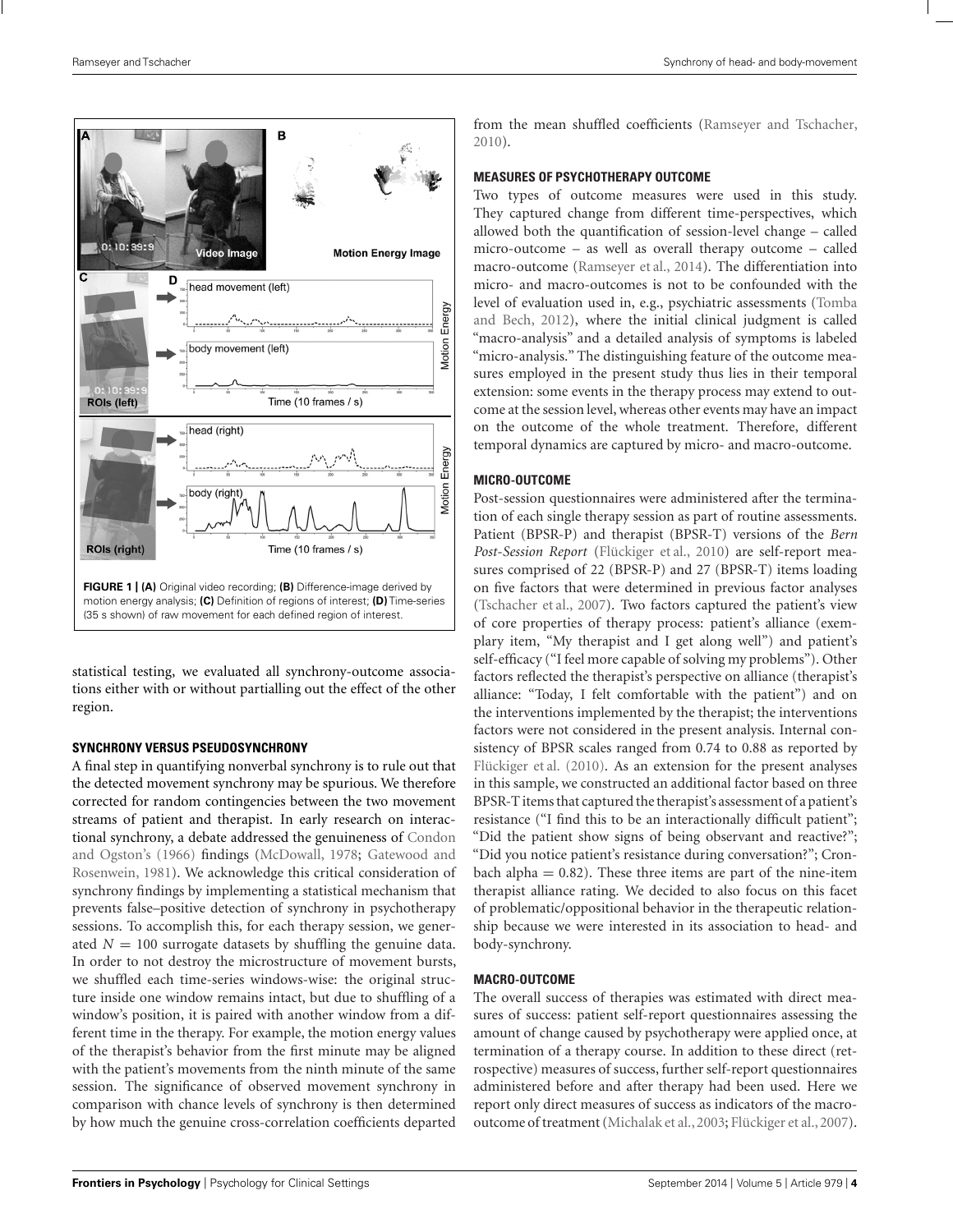<span id="page-3-0"></span>

statistical testing, we evaluated all synchrony-outcome associations either with or without partialling out the effect of the other region.

# **SYNCHRONY VERSUS PSEUDOSYNCHRONY**

A final step in quantifying nonverbal synchrony is to rule out that the detected movement synchrony may be spurious. We therefore corrected for random contingencies between the two movement streams of patient and therapist. In early research on interactional sync[hrony, a debate addressed the genuineness of](#page-6-0) Condon and Ogston's [\(1966](#page-6-0)) [findings](#page-7-0) [\(McDowall, 1978;](#page-7-0) Gatewood and Rosenwein, [1981](#page-7-0)). We acknowledge this critical consideration of synchrony findings by implementing a statistical mechanism that prevents false–positive detection of synchrony in psychotherapy sessions. To accomplish this, for each therapy session, we generated  $N = 100$  surrogate datasets by shuffling the genuine data. In order to not destroy the microstructure of movement bursts, we shuffled each time-series windows-wise: the original structure inside one window remains intact, but due to shuffling of a window's position, it is paired with another window from a different time in the therapy. For example, the motion energy values of the therapist's behavior from the first minute may be aligned with the patient's movements from the ninth minute of the same session. The significance of observed movement synchrony in comparison with chance levels of synchrony is then determined by how much the genuine cross-correlation coefficients departed from the mean shuffled coefficients [\(Ramseyer and Tschacher,](#page-8-0) [2010](#page-8-0)).

# **MEASURES OF PSYCHOTHERAPY OUTCOME**

Two types of outcome measures were used in this study. They captured change from different time-perspectives, which allowed both the quantification of session-level change – called micro-outcome – as well as overall therapy outcome – called macro-outcome [\(Ramseyer et al.](#page-8-0), [2014](#page-8-0)). The differentiation into micro- and macro-outcomes is not to be confounded with the level of e[valuation used in, e.g., psychiatric assessments \(](#page-8-0)Tomba and Bech, [2012\)](#page-8-0), where the initial clinical judgment is called "macro-analysis" and a detailed analysis of symptoms is labeled "micro-analysis." The distinguishing feature of the outcome measures employed in the present study thus lies in their temporal extension: some events in the therapy process may extend to outcome at the session level, whereas other events may have an impact on the outcome of the whole treatment. Therefore, different temporal dynamics are captured by micro- and macro-outcome.

# **MICRO-OUTCOME**

Post-session questionnaires were administered after the termination of each single therapy session as part of routine assessments. Patient (BPSR-P) and therapist (BPSR-T) versions of the *Bern Post-Session Report* [\(Flückiger et al.](#page-6-0), [2010](#page-6-0)) are self-report measures comprised of 22 (BPSR-P) and 27 (BPSR-T) items loading on five factors that were determined in previous factor analyses [\(Tschacher et al., 2007](#page-8-0)). Two factors captured the patient's view of core properties of therapy process: patient's alliance (exemplary item, "My therapist and I get along well") and patient's self-efficacy ("I feel more capable of solving my problems"). Other factors reflected the therapist's perspective on alliance (therapist's alliance: "Today, I felt comfortable with the patient") and on the interventions implemented by the therapist; the interventions factors were not considered in the present analysis. Internal consistency of BPSR scales ranged from 0.74 to 0.88 as reported by [Flückiger et al.](#page-6-0) [\(2010](#page-6-0)). As an extension for the present analyses in this sample, we constructed an additional factor based on three BPSR-T items that captured the therapist's assessment of a patient's resistance ("I find this to be an interactionally difficult patient"; "Did the patient show signs of being observant and reactive?"; "Did you notice patient's resistance during conversation?"; Cronbach alpha  $= 0.82$ ). These three items are part of the nine-item therapist alliance rating. We decided to also focus on this facet of problematic/oppositional behavior in the therapeutic relationship because we were interested in its association to head- and body-synchrony.

# **MACRO-OUTCOME**

The overall success of therapies was estimated with direct measures of success: patient self-report questionnaires assessing the amount of change caused by psychotherapy were applied once, at termination of a therapy course. In addition to these direct (retrospective) measures of success, further self-report questionnaires administered before and after therapy had been used. Here we report only direct measures of success as indicators of the macrooutcome of treatment [\(Michalak et al.](#page-7-0),[2003;](#page-7-0) [Flückiger et al.,2007](#page-6-0)).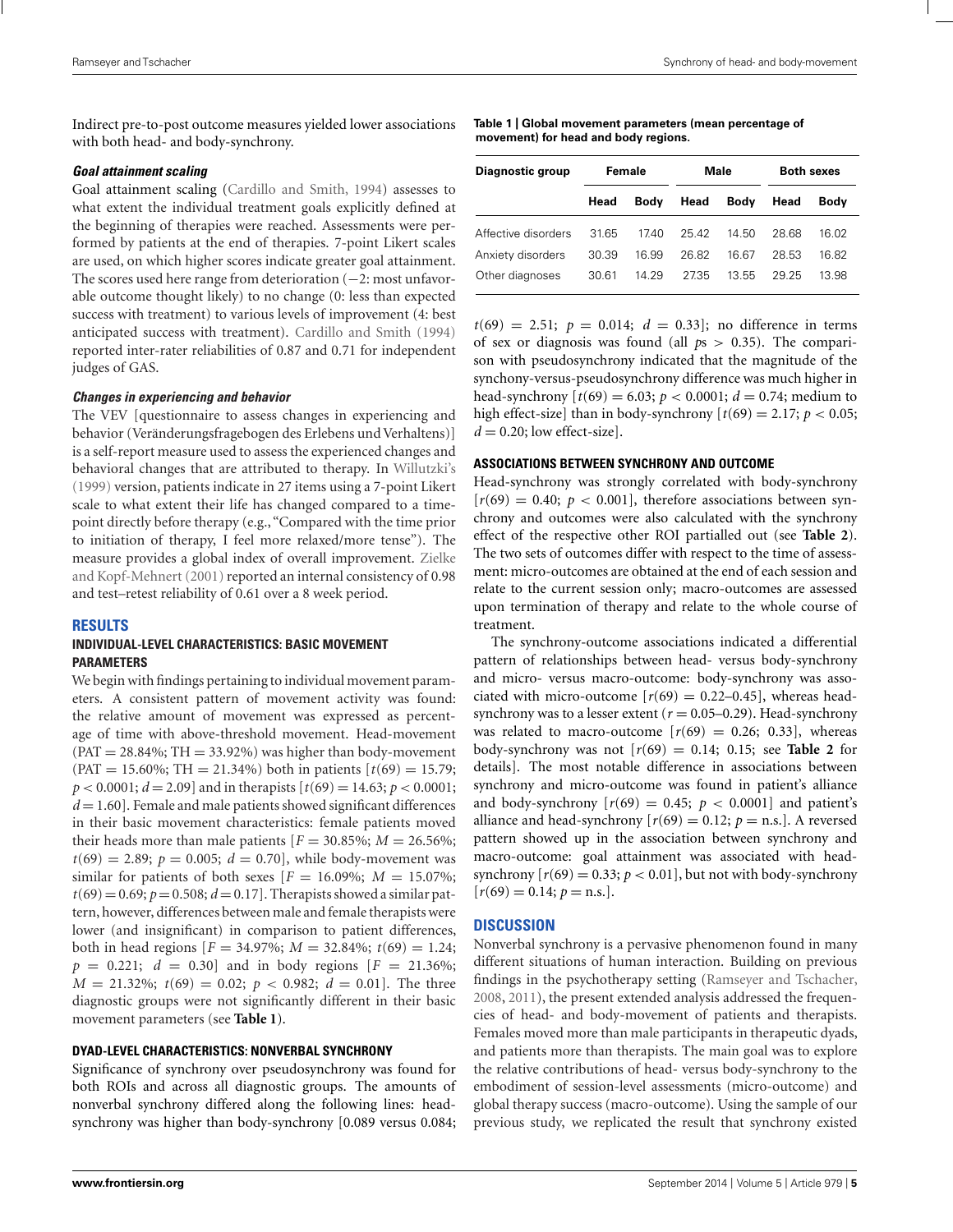Indirect pre-to-post outcome measures yielded lower associations with both head- and body-synchrony.

### *Goal attainment scaling*

Goal attainment scaling [\(Cardillo and Smith, 1994\)](#page-6-0) assesses to what extent the individual treatment goals explicitly defined at the beginning of therapies were reached. Assessments were performed by patients at the end of therapies. 7-point Likert scales are used, on which higher scores indicate greater goal attainment. The scores used here range from deterioration (−2: most unfavorable outcome thought likely) to no change (0: less than expected success with treatment) to various levels of improvement (4: best anticipated success with treatment). [Cardillo and Smith](#page-6-0) [\(1994](#page-6-0)) reported inter-rater reliabilities of 0.87 and 0.71 for independent judges of GAS.

### *Changes in experiencing and behavior*

The VEV [questionnaire to assess changes in experiencing and behavior (Veränderungsfragebogen des Erlebens und Verhaltens)] is a self-report measure used to assess the experienced changes and behavioral changes that are attributed to therapy. In [Willutzki'](#page-8-0)s [\(1999](#page-8-0)) version, patients indicate in 27 items using a 7-point Likert scale to what extent their life has changed compared to a timepoint directly before therapy (e.g., "Compared with the time prior to initiation of therapy, I feel more relaxed/more tense"). The measure provides [a global index of overall improvement.](#page-8-0) Zielke and Kopf-Mehnert [\(2001](#page-8-0)) reported an internal consistency of 0.98 and test–retest reliability of 0.61 over a 8 week period.

### **RESULTS**

### **INDIVIDUAL-LEVEL CHARACTERISTICS: BASIC MOVEMENT PARAMETERS**

We begin with findings pertaining to individual movement parameters. A consistent pattern of movement activity was found: the relative amount of movement was expressed as percentage of time with above-threshold movement. Head-movement  $(PAT = 28.84\%; TH = 33.92\%)$  was higher than body-movement  $(PAT = 15.60\%$ ; TH = 21.34%) both in patients  $\left[\frac{t(69)}{s}\right] = 15.79$ ; *p* < 0.0001; *d* = 2.09] and in therapists [*t*(69) = 14.63; *p* < 0.0001;  $d = 1.60$ . Female and male patients showed significant differences in their basic movement characteristics: female patients moved their heads more than male patients  $[F = 30.85\%; M = 26.56\%;$  $t(69) = 2.89$ ;  $p = 0.005$ ;  $d = 0.70$ ], while body-movement was similar for patients of both sexes  $[F = 16.09\%; M = 15.07\%;$  $t(69) = 0.69; p = 0.508; d = 0.17$ . Therapists showed a similar pattern, however, differences between male and female therapists were lower (and insignificant) in comparison to patient differences, both in head regions  $[F = 34.97\%; M = 32.84\%; t(69) = 1.24;$  $p = 0.221$ ;  $d = 0.30$ ] and in body regions [ $F = 21.36\%$ ;  $M = 21.32\%$ ;  $t(69) = 0.02$ ;  $p < 0.982$ ;  $d = 0.01$ ]. The three diagnostic groups were not significantly different in their basic movement parameters (see **Table 1**).

### **DYAD-LEVEL CHARACTERISTICS: NONVERBAL SYNCHRONY**

Significance of synchrony over pseudosynchrony was found for both ROIs and across all diagnostic groups. The amounts of nonverbal synchrony differed along the following lines: headsynchrony was higher than body-synchrony [0.089 versus 0.084;

**Table 1 | Global movement parameters (mean percentage of movement) for head and body regions.**

| Diagnostic group    | Female |       |       | Male  | <b>Both sexes</b> |       |
|---------------------|--------|-------|-------|-------|-------------------|-------|
|                     | Head   | Bodv  | Head  | Body  | Head              | Bodv  |
| Affective disorders | 31.65  | 1740  | 25.42 | 14.50 | 28.68             | 16.02 |
| Anxiety disorders   | 30.39  | 16.99 | 26.82 | 16.67 | 28.53             | 16.82 |
| Other diagnoses     | 30.61  | 14.29 | 27.35 | 13.55 | 29 25             | 13.98 |

 $t(69) = 2.51$ ;  $p = 0.014$ ;  $d = 0.33$ ]; no difference in terms of sex or diagnosis was found (all *p*s > 0.35). The comparison with pseudosynchrony indicated that the magnitude of the synchony-versus-pseudosynchrony difference was much higher in head-synchrony  $[t(69) = 6.03; p < 0.0001; d = 0.74;$  medium to high effect-size] than in body-synchrony  $\left[t(69) = 2.17; p < 0.05\right]$ ;  $d = 0.20$ ; low effect-size].

### **ASSOCIATIONS BETWEEN SYNCHRONY AND OUTCOME**

Head-synchrony was strongly correlated with body-synchrony  $[r(69) = 0.40; p < 0.001]$ , therefore associations between synchrony and outcomes were also calculated with the synchrony effect of the respective other ROI partialled out (see **[Table 2](#page-5-0)**). The two sets of outcomes differ with respect to the time of assessment: micro-outcomes are obtained at the end of each session and relate to the current session only; macro-outcomes are assessed upon termination of therapy and relate to the whole course of treatment.

The synchrony-outcome associations indicated a differential pattern of relationships between head- versus body-synchrony and micro- versus macro-outcome: body-synchrony was associated with micro-outcome  $[r(69) = 0.22-0.45]$ , whereas headsynchrony was to a lesser extent ( $r = 0.05 - 0.29$ ). Head-synchrony was related to macro-outcome  $[r(69) = 0.26; 0.33]$ , whereas body-synchrony was not  $[r(69) = 0.14; 0.15;$  see **[Table 2](#page-5-0)** for details]. The most notable difference in associations between synchrony and micro-outcome was found in patient's alliance and body-synchrony  $[r(69) = 0.45; p < 0.0001]$  and patient's alliance and head-synchrony  $[r(69) = 0.12; p = n.s.]$ . A reversed pattern showed up in the association between synchrony and macro-outcome: goal attainment was associated with headsynchrony  $[r(69) = 0.33; p < 0.01]$ , but not with body-synchrony  $[r(69) = 0.14; p = n.s.].$ 

# **DISCUSSION**

Nonverbal synchrony is a pervasive phenomenon found in many different situations of human interaction. Building on previous findings in the psychotherapy setting [\(Ramseyer and Tschacher,](#page-8-0) [2008](#page-8-0), [2011\)](#page-8-0), the present extended analysis addressed the frequencies of head- and body-movement of patients and therapists. Females moved more than male participants in therapeutic dyads, and patients more than therapists. The main goal was to explore the relative contributions of head- versus body-synchrony to the embodiment of session-level assessments (micro-outcome) and global therapy success (macro-outcome). Using the sample of our previous study, we replicated the result that synchrony existed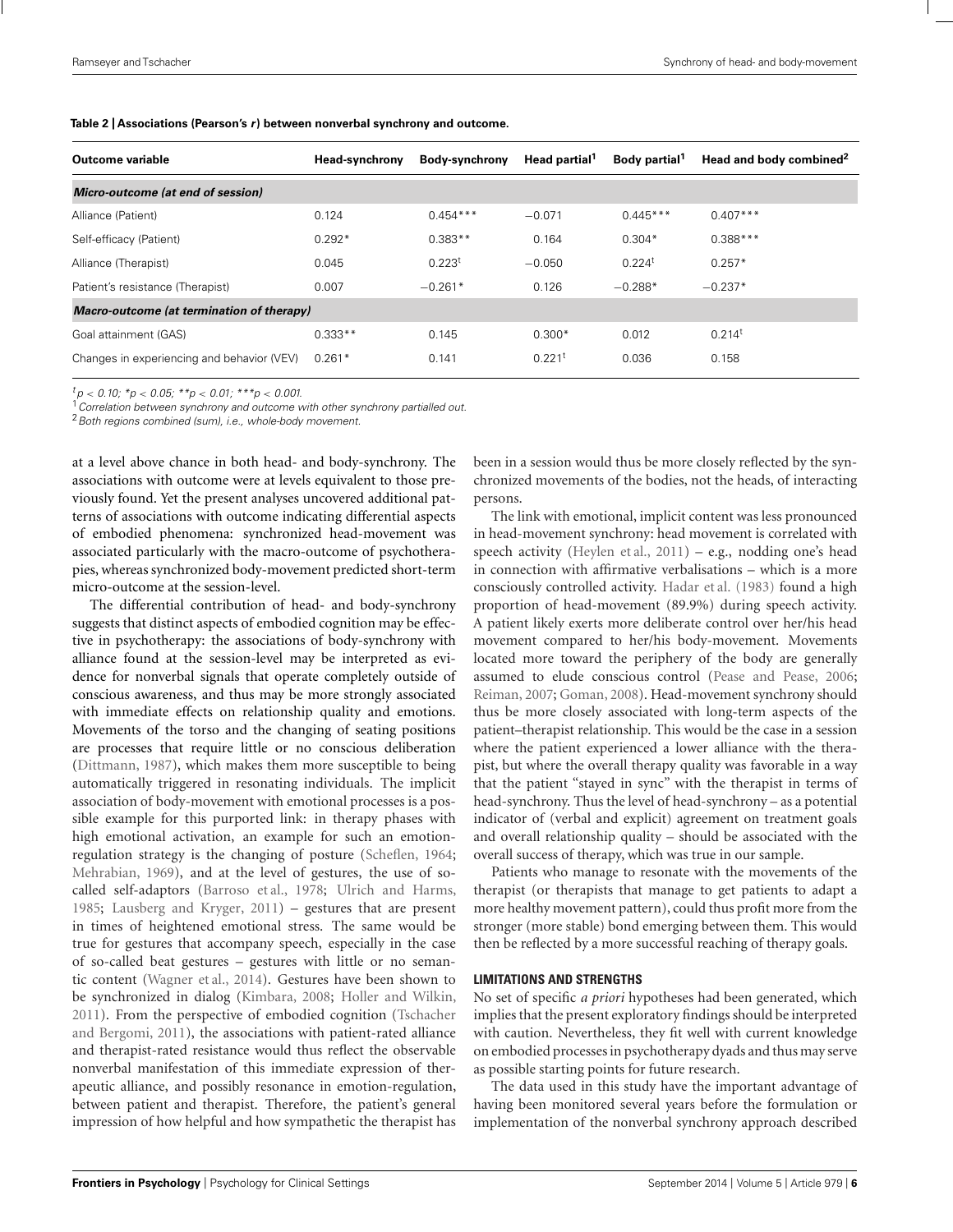<span id="page-5-0"></span>**Table 2 | Associations (Pearson's** *r***) between nonverbal synchrony and outcome.**

| Outcome variable                           | <b>Head-synchrony</b> | <b>Body-synchrony</b> | Head partial <sup>1</sup> | Body partial <sup>1</sup> | Head and body combined <sup>2</sup> |  |  |  |  |
|--------------------------------------------|-----------------------|-----------------------|---------------------------|---------------------------|-------------------------------------|--|--|--|--|
| Micro-outcome (at end of session)          |                       |                       |                           |                           |                                     |  |  |  |  |
| Alliance (Patient)                         | 0.124                 | $0.454***$            | $-0.071$                  | $0.445***$                | $0.407***$                          |  |  |  |  |
| Self-efficacy (Patient)                    | $0.292*$              | $0.383**$             | 0.164                     | $0.304*$                  | $0.388***$                          |  |  |  |  |
| Alliance (Therapist)                       | 0.045                 | $0.223^t$             | $-0.050$                  | $0.224$ <sup>t</sup>      | $0.257*$                            |  |  |  |  |
| Patient's resistance (Therapist)           | 0.007                 | $-0.261*$             | 0.126                     | $-0.288*$                 | $-0.237*$                           |  |  |  |  |
| Macro-outcome (at termination of therapy)  |                       |                       |                           |                           |                                     |  |  |  |  |
| Goal attainment (GAS)                      | $0.333**$             | 0.145                 | $0.300*$                  | 0.012                     | $0.214^t$                           |  |  |  |  |
| Changes in experiencing and behavior (VEV) | $0.261*$              | 0.141                 | $0.221$ <sup>t</sup>      | 0.036                     | 0.158                               |  |  |  |  |

 $t_p < 0.10$ ; \* $p < 0.05$ ; \*\* $p < 0.01$ ; \*\*\* $p < 0.001$ .

 $1$  Correlation between synchrony and outcome with other synchrony partialled out.

<sup>2</sup>Both regions combined (sum), i.e., whole-body movement.

at a level above chance in both head- and body-synchrony. The associations with outcome were at levels equivalent to those previously found. Yet the present analyses uncovered additional patterns of associations with outcome indicating differential aspects of embodied phenomena: synchronized head-movement was associated particularly with the macro-outcome of psychotherapies, whereas synchronized body-movement predicted short-term micro-outcome at the session-level.

The differential contribution of head- and body-synchrony suggests that distinct aspects of embodied cognition may be effective in psychotherapy: the associations of body-synchrony with alliance found at the session-level may be interpreted as evidence for nonverbal signals that operate completely outside of conscious awareness, and thus may be more strongly associated with immediate effects on relationship quality and emotions. Movements of the torso and the changing of seating positions are processes that require little or no conscious deliberation [\(Dittmann](#page-6-0), [1987\)](#page-6-0), which makes them more susceptible to being automatically triggered in resonating individuals. The implicit association of body-movement with emotional processes is a possible example for this purported link: in therapy phases with high emotional activation, an example for such an emotionregulation strategy is the changing of posture [\(Scheflen, 1964;](#page-8-0) [Mehrabian, 1969\)](#page-7-0), and at the level of gestures, the use of socalled self-adaptors [\(Barroso et al., 1978;](#page-6-0) [Ulrich and Harms,](#page-8-0) [1985;](#page-8-0) [Lausberg and Kryger, 2011](#page-7-0)) – gestures that are present in times of heightened emotional stress. The same would be true for gestures that accompany speech, especially in the case of so-called beat gestures – gestures with little or no semantic content [\(Wagner et al., 2014\)](#page-8-0). Gestures have been shown to be synchronized in dialog [\(Kimbara](#page-7-0), [2008](#page-7-0); [Holler and Wilkin,](#page-7-0) [2011\)](#page-7-0). From [the](#page-8-0) [perspective](#page-8-0) [of](#page-8-0) [embodied](#page-8-0) [cognition](#page-8-0) [\(](#page-8-0)Tschacher and Bergomi, [2011](#page-8-0)), the associations with patient-rated alliance and therapist-rated resistance would thus reflect the observable nonverbal manifestation of this immediate expression of therapeutic alliance, and possibly resonance in emotion-regulation, between patient and therapist. Therefore, the patient's general impression of how helpful and how sympathetic the therapist has been in a session would thus be more closely reflected by the synchronized movements of the bodies, not the heads, of interacting persons.

The link with emotional, implicit content was less pronounced in head-movement synchrony: head movement is correlated with speech activity (Heylen et al.,  $2011$ ) – e.g., nodding one's head in connection with affirmative verbalisations – which is a more consciously controlled activity. [Hadar et al.](#page-7-0) [\(1983](#page-7-0)) found a high proportion of head-movement (89.9%) during speech activity. A patient likely exerts more deliberate control over her/his head movement compared to her/his body-movement. Movements located more toward the periphery of the body are generally assumed to elude conscious control [\(Pease and Pease, 2006;](#page-7-0) [Reiman, 2007;](#page-8-0) [Goman](#page-7-0), [2008](#page-7-0)). Head-movement synchrony should thus be more closely associated with long-term aspects of the patient–therapist relationship. This would be the case in a session where the patient experienced a lower alliance with the therapist, but where the overall therapy quality was favorable in a way that the patient "stayed in sync" with the therapist in terms of head-synchrony. Thus the level of head-synchrony – as a potential indicator of (verbal and explicit) agreement on treatment goals and overall relationship quality – should be associated with the overall success of therapy, which was true in our sample.

Patients who manage to resonate with the movements of the therapist (or therapists that manage to get patients to adapt a more healthy movement pattern), could thus profit more from the stronger (more stable) bond emerging between them. This would then be reflected by a more successful reaching of therapy goals.

### **LIMITATIONS AND STRENGTHS**

No set of specific *a priori* hypotheses had been generated, which implies that the present exploratory findings should be interpreted with caution. Nevertheless, they fit well with current knowledge on embodied processes in psychotherapy dyads and thus may serve as possible starting points for future research.

The data used in this study have the important advantage of having been monitored several years before the formulation or implementation of the nonverbal synchrony approach described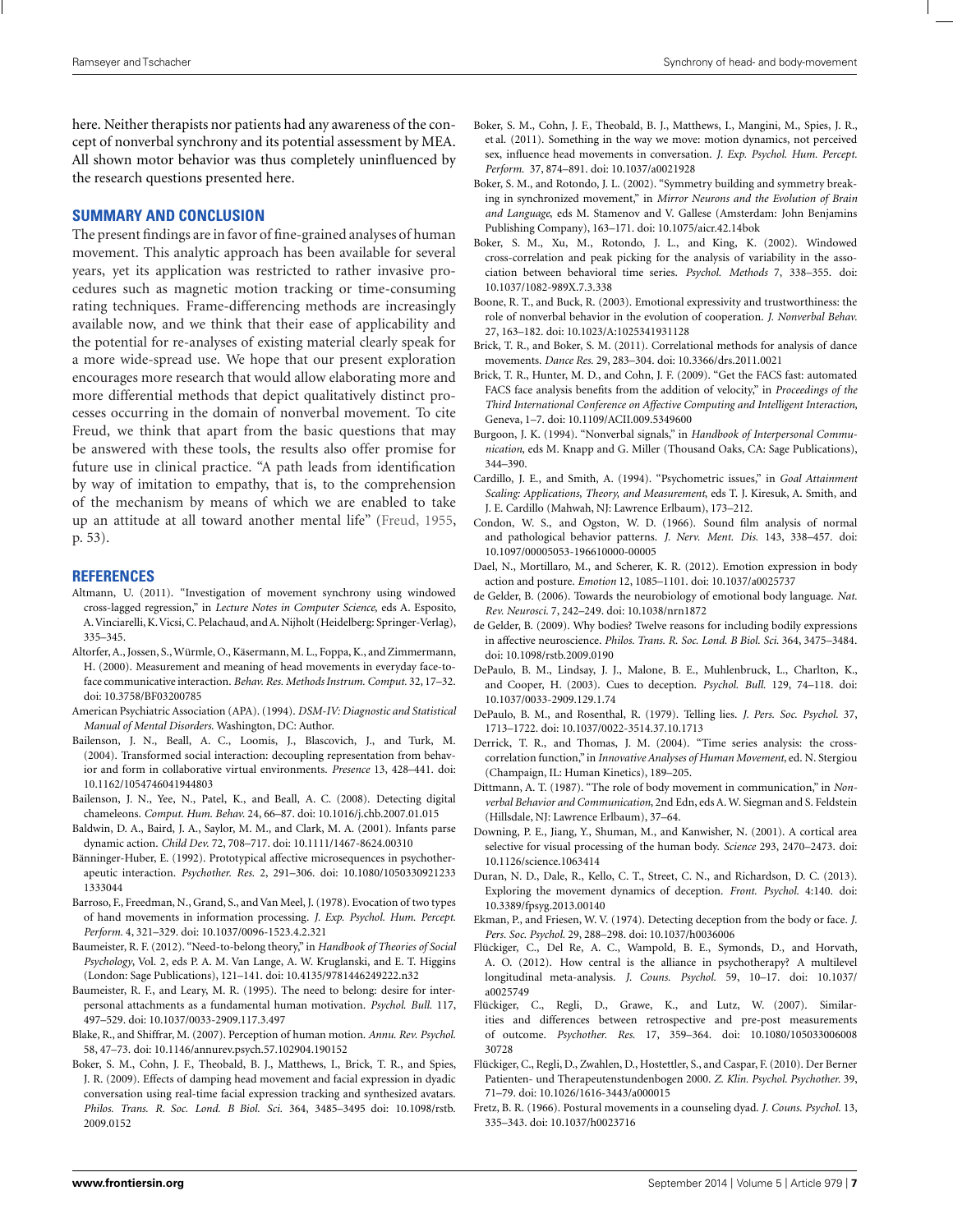<span id="page-6-0"></span>here. Neither therapists nor patients had any awareness of the concept of nonverbal synchrony and its potential assessment by MEA. All shown motor behavior was thus completely uninfluenced by the research questions presented here.

# **SUMMARY AND CONCLUSION**

The present findings are in favor of fine-grained analyses of human movement. This analytic approach has been available for several years, yet its application was restricted to rather invasive procedures such as magnetic motion tracking or time-consuming rating techniques. Frame-differencing methods are increasingly available now, and we think that their ease of applicability and the potential for re-analyses of existing material clearly speak for a more wide-spread use. We hope that our present exploration encourages more research that would allow elaborating more and more differential methods that depict qualitatively distinct processes occurring in the domain of nonverbal movement. To cite Freud, we think that apart from the basic questions that may be answered with these tools, the results also offer promise for future use in clinical practice. "A path leads from identification by way of imitation to empathy, that is, to the comprehension of the mechanism by means of which we are enabled to take up an attitude at all toward another mental life" [\(Freud](#page-7-0), [1955,](#page-7-0) p. 53).

### **REFERENCES**

- Altmann, U. (2011). "Investigation of movement synchrony using windowed cross-lagged regression," in *Lecture Notes in Computer Science*, eds A. Esposito, A.Vinciarelli, K.Vicsi, C. Pelachaud, andA. Nijholt (Heidelberg: Springer-Verlag), 335–345.
- Altorfer, A., Jossen, S.,Würmle, O., Käsermann, M. L., Foppa, K., and Zimmermann, H. (2000). Measurement and meaning of head movements in everyday face-toface communicative interaction. *Behav. Res. Methods Instrum. Comput.* 32, 17–32. doi: 10.3758/BF03200785
- American Psychiatric Association (APA). (1994). *DSM-IV: Diagnostic and Statistical Manual of Mental Disorders*. Washington, DC: Author.
- Bailenson, J. N., Beall, A. C., Loomis, J., Blascovich, J., and Turk, M. (2004). Transformed social interaction: decoupling representation from behavior and form in collaborative virtual environments. *Presence* 13, 428–441. doi: 10.1162/1054746041944803
- Bailenson, J. N., Yee, N., Patel, K., and Beall, A. C. (2008). Detecting digital chameleons. *Comput. Hum. Behav.* 24, 66–87. doi: 10.1016/j.chb.2007.01.015
- Baldwin, D. A., Baird, J. A., Saylor, M. M., and Clark, M. A. (2001). Infants parse dynamic action. *Child Dev.* 72, 708–717. doi: 10.1111/1467-8624.00310
- Bänninger-Huber, E. (1992). Prototypical affective microsequences in psychotherapeutic interaction. *Psychother. Res.* 2, 291–306. doi: 10.1080/1050330921233 1333044
- Barroso, F., Freedman, N., Grand, S., and Van Meel, J. (1978). Evocation of two types of hand movements in information processing. *J. Exp. Psychol. Hum. Percept. Perform.* 4, 321–329. doi: 10.1037/0096-1523.4.2.321
- Baumeister, R. F. (2012). "Need-to-belong theory," in *Handbook of Theories of Social Psychology*, Vol. 2, eds P. A. M. Van Lange, A. W. Kruglanski, and E. T. Higgins (London: Sage Publications), 121–141. doi: 10.4135/9781446249222.n32
- Baumeister, R. F., and Leary, M. R. (1995). The need to belong: desire for interpersonal attachments as a fundamental human motivation. *Psychol. Bull.* 117, 497–529. doi: 10.1037/0033-2909.117.3.497
- Blake, R., and Shiffrar, M. (2007). Perception of human motion. *Annu. Rev. Psychol.* 58, 47–73. doi: 10.1146/annurev.psych.57.102904.190152
- Boker, S. M., Cohn, J. F., Theobald, B. J., Matthews, I., Brick, T. R., and Spies, J. R. (2009). Effects of damping head movement and facial expression in dyadic conversation using real-time facial expression tracking and synthesized avatars. *Philos. Trans. R. Soc. Lond. B Biol. Sci.* 364, 3485–3495 doi: 10.1098/rstb. 2009.0152
- Boker, S. M., Cohn, J. F., Theobald, B. J., Matthews, I., Mangini, M., Spies, J. R., et al. (2011). Something in the way we move: motion dynamics, not perceived sex, influence head movements in conversation. *J. Exp. Psychol. Hum. Percept. Perform.* 37, 874–891. doi: 10.1037/a0021928
- Boker, S. M., and Rotondo, J. L. (2002). "Symmetry building and symmetry breaking in synchronized movement," in *Mirror Neurons and the Evolution of Brain and Language*, eds M. Stamenov and V. Gallese (Amsterdam: John Benjamins Publishing Company), 163–171. doi: 10.1075/aicr.42.14bok
- Boker, S. M., Xu, M., Rotondo, J. L., and King, K. (2002). Windowed cross-correlation and peak picking for the analysis of variability in the association between behavioral time series. *Psychol. Methods* 7, 338–355. doi: 10.1037/1082-989X.7.3.338
- Boone, R. T., and Buck, R. (2003). Emotional expressivity and trustworthiness: the role of nonverbal behavior in the evolution of cooperation. *J. Nonverbal Behav.* 27, 163–182. doi: 10.1023/A:1025341931128
- Brick, T. R., and Boker, S. M. (2011). Correlational methods for analysis of dance movements. *Dance Res.* 29, 283–304. doi: 10.3366/drs.2011.0021
- Brick, T. R., Hunter, M. D., and Cohn, J. F. (2009). "Get the FACS fast: automated FACS face analysis benefits from the addition of velocity," in *Proceedings of the Third International Conference on Affective Computing and Intelligent Interaction*, Geneva, 1–7. doi: 10.1109/ACII.009.5349600
- Burgoon, J. K. (1994). "Nonverbal signals," in *Handbook of Interpersonal Communication*, eds M. Knapp and G. Miller (Thousand Oaks, CA: Sage Publications), 344–390.
- Cardillo, J. E., and Smith, A. (1994). "Psychometric issues," in *Goal Attainment Scaling: Applications, Theory, and Measurement*, eds T. J. Kiresuk, A. Smith, and J. E. Cardillo (Mahwah, NJ: Lawrence Erlbaum), 173–212.
- Condon, W. S., and Ogston, W. D. (1966). Sound film analysis of normal and pathological behavior patterns. *J. Nerv. Ment. Dis.* 143, 338–457. doi: 10.1097/00005053-196610000-00005
- Dael, N., Mortillaro, M., and Scherer, K. R. (2012). Emotion expression in body action and posture. *Emotion* 12, 1085–1101. doi: 10.1037/a0025737
- de Gelder, B. (2006). Towards the neurobiology of emotional body language. *Nat. Rev. Neurosci.* 7, 242–249. doi: 10.1038/nrn1872
- de Gelder, B. (2009). Why bodies? Twelve reasons for including bodily expressions in affective neuroscience. *Philos. Trans. R. Soc. Lond. B Biol. Sci.* 364, 3475–3484. doi: 10.1098/rstb.2009.0190
- DePaulo, B. M., Lindsay, J. J., Malone, B. E., Muhlenbruck, L., Charlton, K., and Cooper, H. (2003). Cues to deception. *Psychol. Bull.* 129, 74–118. doi: 10.1037/0033-2909.129.1.74
- DePaulo, B. M., and Rosenthal, R. (1979). Telling lies. *J. Pers. Soc. Psychol.* 37, 1713–1722. doi: 10.1037/0022-3514.37.10.1713
- Derrick, T. R., and Thomas, J. M. (2004). "Time series analysis: the crosscorrelation function," in *Innovative Analyses of Human Movement*, ed. N. Stergiou (Champaign, IL: Human Kinetics), 189–205.
- Dittmann, A. T. (1987). "The role of body movement in communication," in *Nonverbal Behavior and Communication*, 2nd Edn, eds A. W. Siegman and S. Feldstein (Hillsdale, NJ: Lawrence Erlbaum), 37–64.
- Downing, P. E., Jiang, Y., Shuman, M., and Kanwisher, N. (2001). A cortical area selective for visual processing of the human body. *Science* 293, 2470–2473. doi: 10.1126/science.1063414
- Duran, N. D., Dale, R., Kello, C. T., Street, C. N., and Richardson, D. C. (2013). Exploring the movement dynamics of deception. *Front. Psychol.* 4:140. doi: 10.3389/fpsyg.2013.00140
- Ekman, P., and Friesen, W. V. (1974). Detecting deception from the body or face. *J. Pers. Soc. Psychol.* 29, 288–298. doi: 10.1037/h0036006
- Flückiger, C., Del Re, A. C., Wampold, B. E., Symonds, D., and Horvath, A. O. (2012). How central is the alliance in psychotherapy? A multilevel longitudinal meta-analysis. *J. Couns. Psychol.* 59, 10–17. doi: 10.1037/ a0025749
- Flückiger, C., Regli, D., Grawe, K., and Lutz, W. (2007). Similarities and differences between retrospective and pre-post measurements of outcome. *Psychother. Res.* 17, 359–364. doi: 10.1080/105033006008 30728
- Flückiger, C., Regli, D., Zwahlen, D., Hostettler, S., and Caspar, F. (2010). Der Berner Patienten- und Therapeutenstundenbogen 2000. *Z. Klin. Psychol. Psychother.* 39, 71–79. doi: 10.1026/1616-3443/a000015
- Fretz, B. R. (1966). Postural movements in a counseling dyad. *J. Couns. Psychol.* 13, 335–343. doi: 10.1037/h0023716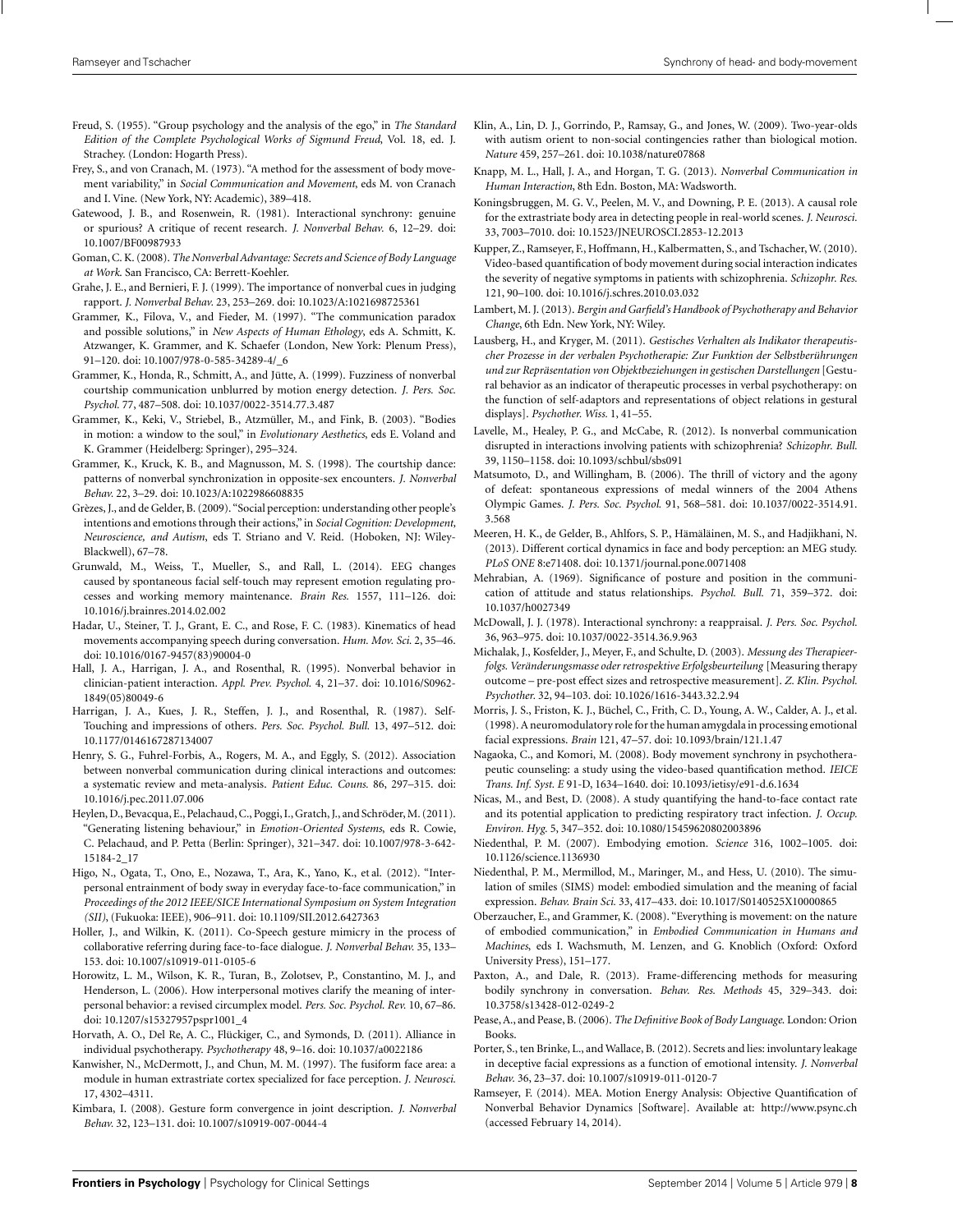- <span id="page-7-0"></span>Freud, S. (1955). "Group psychology and the analysis of the ego," in *The Standard Edition of the Complete Psychological Works of Sigmund Freud*, Vol. 18, ed. J. Strachey. (London: Hogarth Press).
- Frey, S., and von Cranach, M. (1973). "A method for the assessment of body movement variability," in *Social Communication and Movement*, eds M. von Cranach and I. Vine. (New York, NY: Academic), 389–418.
- Gatewood, J. B., and Rosenwein, R. (1981). Interactional synchrony: genuine or spurious? A critique of recent research. *J. Nonverbal Behav.* 6, 12–29. doi: 10.1007/BF00987933
- Goman, C. K. (2008). *The Nonverbal Advantage: Secrets and Science of Body Language at Work*. San Francisco, CA: Berrett-Koehler.
- Grahe, J. E., and Bernieri, F. J. (1999). The importance of nonverbal cues in judging rapport. *J. Nonverbal Behav.* 23, 253–269. doi: 10.1023/A:1021698725361
- Grammer, K., Filova, V., and Fieder, M. (1997). "The communication paradox and possible solutions," in *New Aspects of Human Ethology*, eds A. Schmitt, K. Atzwanger, K. Grammer, and K. Schaefer (London, New York: Plenum Press), 91–120. doi: 10.1007/978-0-585-34289-4/\_6
- Grammer, K., Honda, R., Schmitt, A., and Jütte, A. (1999). Fuzziness of nonverbal courtship communication unblurred by motion energy detection. *J. Pers. Soc. Psychol.* 77, 487–508. doi: 10.1037/0022-3514.77.3.487
- Grammer, K., Keki, V., Striebel, B., Atzmüller, M., and Fink, B. (2003). "Bodies in motion: a window to the soul," in *Evolutionary Aesthetics*, eds E. Voland and K. Grammer (Heidelberg: Springer), 295–324.
- Grammer, K., Kruck, K. B., and Magnusson, M. S. (1998). The courtship dance: patterns of nonverbal synchronization in opposite-sex encounters. *J. Nonverbal Behav.* 22, 3–29. doi: 10.1023/A:1022986608835
- Grèzes, J., and de Gelder, B. (2009). "Social perception: understanding other people's intentions and emotions through their actions," in *Social Cognition: Development, Neuroscience, and Autism*, eds T. Striano and V. Reid. (Hoboken, NJ: Wiley-Blackwell), 67–78.
- Grunwald, M., Weiss, T., Mueller, S., and Rall, L. (2014). EEG changes caused by spontaneous facial self-touch may represent emotion regulating processes and working memory maintenance. *Brain Res.* 1557, 111–126. doi: 10.1016/j.brainres.2014.02.002
- Hadar, U., Steiner, T. J., Grant, E. C., and Rose, F. C. (1983). Kinematics of head movements accompanying speech during conversation. *Hum. Mov. Sci.* 2, 35–46. doi: 10.1016/0167-9457(83)90004-0
- Hall, J. A., Harrigan, J. A., and Rosenthal, R. (1995). Nonverbal behavior in clinician-patient interaction. *Appl. Prev. Psychol.* 4, 21–37. doi: 10.1016/S0962- 1849(05)80049-6
- Harrigan, J. A., Kues, J. R., Steffen, J. J., and Rosenthal, R. (1987). Self-Touching and impressions of others. *Pers. Soc. Psychol. Bull.* 13, 497–512. doi: 10.1177/0146167287134007
- Henry, S. G., Fuhrel-Forbis, A., Rogers, M. A., and Eggly, S. (2012). Association between nonverbal communication during clinical interactions and outcomes: a systematic review and meta-analysis. *Patient Educ. Couns.* 86, 297–315. doi: 10.1016/j.pec.2011.07.006
- Heylen, D., Bevacqua, E., Pelachaud, C., Poggi, I., Gratch, J., and Schröder, M. (2011). "Generating listening behaviour," in *Emotion-Oriented Systems*, eds R. Cowie, C. Pelachaud, and P. Petta (Berlin: Springer), 321–347. doi: 10.1007/978-3-642- 15184-2\_17
- Higo, N., Ogata, T., Ono, E., Nozawa, T., Ara, K., Yano, K., et al. (2012). "Interpersonal entrainment of body sway in everyday face-to-face communication," in *Proceedings of the 2012 IEEE/SICE International Symposium on System Integration (SII)*, (Fukuoka: IEEE), 906–911. doi: 10.1109/SII.2012.6427363
- Holler, J., and Wilkin, K. (2011). Co-Speech gesture mimicry in the process of collaborative referring during face-to-face dialogue. *J. Nonverbal Behav.* 35, 133– 153. doi: 10.1007/s10919-011-0105-6
- Horowitz, L. M., Wilson, K. R., Turan, B., Zolotsev, P., Constantino, M. J., and Henderson, L. (2006). How interpersonal motives clarify the meaning of interpersonal behavior: a revised circumplex model. *Pers. Soc. Psychol. Rev.* 10, 67–86. doi: 10.1207/s15327957pspr1001\_4
- Horvath, A. O., Del Re, A. C., Flückiger, C., and Symonds, D. (2011). Alliance in individual psychotherapy. *Psychotherapy* 48, 9–16. doi: 10.1037/a0022186
- Kanwisher, N., McDermott, J., and Chun, M. M. (1997). The fusiform face area: a module in human extrastriate cortex specialized for face perception. *J. Neurosci.* 17, 4302–4311.
- Kimbara, I. (2008). Gesture form convergence in joint description. *J. Nonverbal Behav.* 32, 123–131. doi: 10.1007/s10919-007-0044-4
- Klin, A., Lin, D. J., Gorrindo, P., Ramsay, G., and Jones, W. (2009). Two-year-olds with autism orient to non-social contingencies rather than biological motion. *Nature* 459, 257–261. doi: 10.1038/nature07868
- Knapp, M. L., Hall, J. A., and Horgan, T. G. (2013). *Nonverbal Communication in Human Interaction*, 8th Edn. Boston, MA: Wadsworth.
- Koningsbruggen, M. G. V., Peelen, M. V., and Downing, P. E. (2013). A causal role for the extrastriate body area in detecting people in real-world scenes. *J. Neurosci.* 33, 7003–7010. doi: 10.1523/JNEUROSCI.2853-12.2013
- Kupper, Z., Ramseyer, F., Hoffmann, H., Kalbermatten, S., and Tschacher, W. (2010). Video-based quantification of body movement during social interaction indicates the severity of negative symptoms in patients with schizophrenia. *Schizophr. Res.* 121, 90–100. doi: 10.1016/j.schres.2010.03.032
- Lambert, M. J. (2013). *Bergin and Garfield's Handbook of Psychotherapy and Behavior Change*, 6th Edn. New York, NY: Wiley.
- Lausberg, H., and Kryger, M. (2011). *Gestisches Verhalten als Indikator therapeutischer Prozesse in der verbalen Psychotherapie: Zur Funktion der Selbstberührungen und zur Repräsentation von Objektbeziehungen in gestischen Darstellungen* [Gestural behavior as an indicator of therapeutic processes in verbal psychotherapy: on the function of self-adaptors and representations of object relations in gestural displays]. *Psychother. Wiss.* 1, 41–55.
- Lavelle, M., Healey, P. G., and McCabe, R. (2012). Is nonverbal communication disrupted in interactions involving patients with schizophrenia? *Schizophr. Bull.* 39, 1150–1158. doi: 10.1093/schbul/sbs091
- Matsumoto, D., and Willingham, B. (2006). The thrill of victory and the agony of defeat: spontaneous expressions of medal winners of the 2004 Athens Olympic Games. *J. Pers. Soc. Psychol.* 91, 568–581. doi: 10.1037/0022-3514.91. 3.568
- Meeren, H. K., de Gelder, B., Ahlfors, S. P., Hämäläinen, M. S., and Hadjikhani, N. (2013). Different cortical dynamics in face and body perception: an MEG study. *PLoS ONE* 8:e71408. doi: 10.1371/journal.pone.0071408
- Mehrabian, A. (1969). Significance of posture and position in the communication of attitude and status relationships. *Psychol. Bull.* 71, 359–372. doi: 10.1037/h0027349
- McDowall, J. J. (1978). Interactional synchrony: a reappraisal. *J. Pers. Soc. Psychol.* 36, 963–975. doi: 10.1037/0022-3514.36.9.963
- Michalak, J., Kosfelder, J., Meyer, F., and Schulte, D. (2003). *Messung des Therapieerfolgs. Veränderungsmasse oder retrospektive Erfolgsbeurteilung* [Measuring therapy outcome – pre-post effect sizes and retrospective measurement]. *Z. Klin. Psychol. Psychother.* 32, 94–103. doi: 10.1026/1616-3443.32.2.94
- Morris, J. S., Friston, K. J., Büchel, C., Frith, C. D., Young, A. W., Calder, A. J., et al. (1998). A neuromodulatory role for the human amygdala in processing emotional facial expressions. *Brain* 121, 47–57. doi: 10.1093/brain/121.1.47
- Nagaoka, C., and Komori, M. (2008). Body movement synchrony in psychotherapeutic counseling: a study using the video-based quantification method. *IEICE Trans. Inf. Syst. E* 91-D, 1634–1640. doi: 10.1093/ietisy/e91-d.6.1634
- Nicas, M., and Best, D. (2008). A study quantifying the hand-to-face contact rate and its potential application to predicting respiratory tract infection. *J. Occup. Environ. Hyg.* 5, 347–352. doi: 10.1080/15459620802003896
- Niedenthal, P. M. (2007). Embodying emotion. *Science* 316, 1002–1005. doi: 10.1126/science.1136930
- Niedenthal, P. M., Mermillod, M., Maringer, M., and Hess, U. (2010). The simulation of smiles (SIMS) model: embodied simulation and the meaning of facial expression. *Behav. Brain Sci.* 33, 417–433. doi: 10.1017/S0140525X10000865
- Oberzaucher, E., and Grammer, K. (2008). "Everything is movement: on the nature of embodied communication," in *Embodied Communication in Humans and Machines*, eds I. Wachsmuth, M. Lenzen, and G. Knoblich (Oxford: Oxford University Press), 151–177.
- Paxton, A., and Dale, R. (2013). Frame-differencing methods for measuring bodily synchrony in conversation. *Behav. Res. Methods* 45, 329–343. doi: 10.3758/s13428-012-0249-2
- Pease, A., and Pease, B. (2006). *The Definitive Book of Body Language*. London: Orion Books.
- Porter, S., ten Brinke, L., and Wallace, B. (2012). Secrets and lies: involuntary leakage in deceptive facial expressions as a function of emotional intensity. *J. Nonverbal Behav.* 36, 23–37. doi: 10.1007/s10919-011-0120-7
- Ramseyer, F. (2014). MEA. Motion Energy Analysis: Objective Quantification of Nonverbal Behavior Dynamics [Software]. Available at:<http://www.psync.ch> (accessed February 14, 2014).